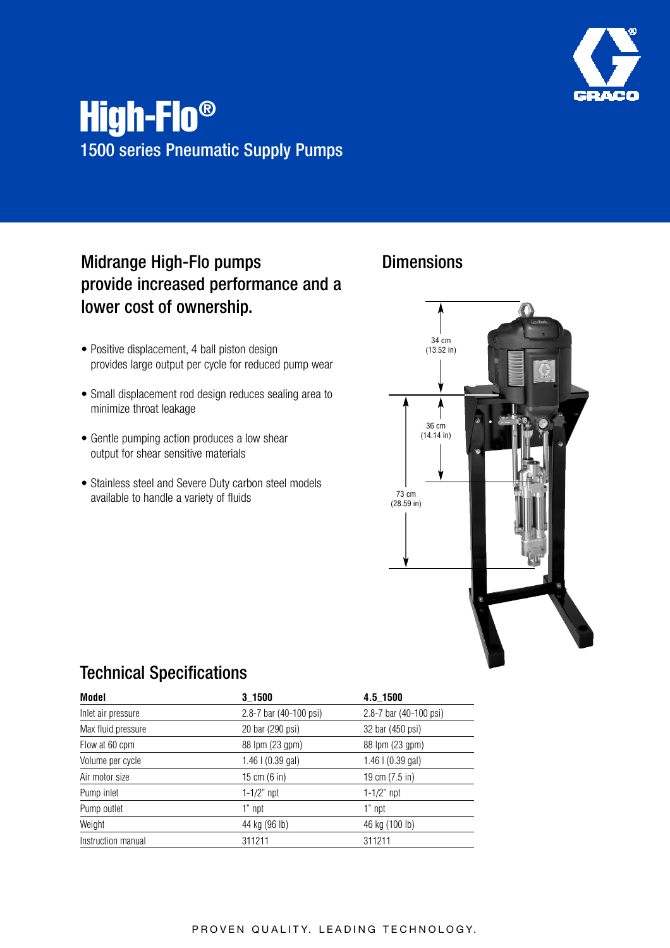

# High-Flo® 1500 series Pneumatic Supply Pumps

### Midrange High-Flo pumps provide increased performance and a lower cost of ownership.

- Positive displacement, 4 ball piston design provides large output per cycle for reduced pump wear
- Small displacement rod design reduces sealing area to minimize throat leakage
- Gentle pumping action produces a low shear output for shear sensitive materials
- Stainless steel and Severe Duty carbon steel models available to handle a variety of fluids

### **Dimensions**



#### Technical Specifications

| Model              | 3 1500                 | 4.5 1500               |
|--------------------|------------------------|------------------------|
| Inlet air pressure | 2.8-7 bar (40-100 psi) | 2.8-7 bar (40-100 psi) |
| Max fluid pressure | 20 bar (290 psi)       | 32 bar (450 psi)       |
| Flow at 60 cpm     | 88 lpm (23 gpm)        | 88 lpm (23 gpm)        |
| Volume per cycle   | $1.46$   (0.39 gal)    | $1.46$   $(0.39$ gal)  |
| Air motor size     | 15 cm (6 in)           | 19 cm (7.5 in)         |
| Pump inlet         | 1-1/2" $npt$           | $1 - 1/2$ " npt        |
| Pump outlet        | 1" npt                 | 1" npt                 |
| Weight             | 44 kg (96 lb)          | 46 kg (100 lb)         |
| Instruction manual | 311211                 | 311211                 |